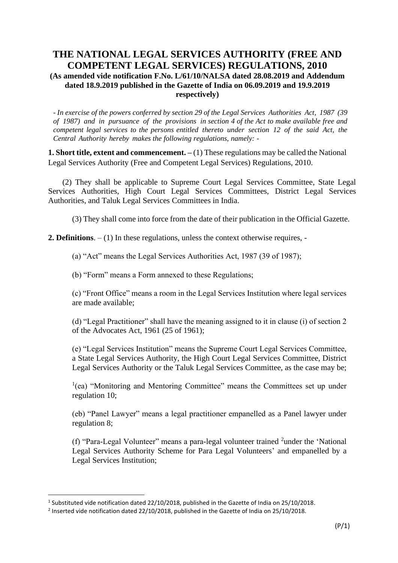# **THE NATIONAL LEGAL SERVICES AUTHORITY (FREE AND COMPETENT LEGAL SERVICES) REGULATIONS, 2010 (As amended vide notification F.No. L/61/10/NALSA dated 28.08.2019 and Addendum dated 18.9.2019 published in the Gazette of India on 06.09.2019 and 19.9.2019 respectively)**

- *In exercise of the powers conferred by section 29 of the Legal Services Authorities Act, 1987 (39 of 1987) and in pursuance of the provisions in section 4 of the Act to make available free and competent legal services to the persons entitled thereto under section 12 of the said Act, the Central Authority hereby makes the following regulations, namely: -*

**1. Short title, extent and commencement.** – (1) These regulations may be called the National Legal Services Authority (Free and Competent Legal Services) Regulations, 2010.

(2) They shall be applicable to Supreme Court Legal Services Committee, State Legal Services Authorities, High Court Legal Services Committees, District Legal Services Authorities, and Taluk Legal Services Committees in India.

(3) They shall come into force from the date of their publication in the Official Gazette.

**2. Definitions**. – (1) In these regulations, unless the context otherwise requires, -

(a) "Act" means the Legal Services Authorities Act, 1987 (39 of 1987);

(b) "Form" means a Form annexed to these Regulations;

(c) "Front Office" means a room in the Legal Services Institution where legal services are made available;

(d) "Legal Practitioner" shall have the meaning assigned to it in clause (i) of section 2 of the Advocates Act, 1961 (25 of 1961);

(e) "Legal Services Institution" means the Supreme Court Legal Services Committee, a State Legal Services Authority, the High Court Legal Services Committee, District Legal Services Authority or the Taluk Legal Services Committee, as the case may be;

<sup>1</sup>(ea) "Monitoring and Mentoring Committee" means the Committees set up under regulation 10;

(eb) "Panel Lawyer" means a legal practitioner empanelled as a Panel lawyer under regulation 8;

(f) "Para-Legal Volunteer" means a para-legal volunteer trained <sup>2</sup>under the 'National Legal Services Authority Scheme for Para Legal Volunteers' and empanelled by a Legal Services Institution;

<sup>&</sup>lt;sup>1</sup> Substituted vide notification dated 22/10/2018, published in the Gazette of India on 25/10/2018.

<sup>&</sup>lt;sup>2</sup> Inserted vide notification dated 22/10/2018, published in the Gazette of India on 25/10/2018.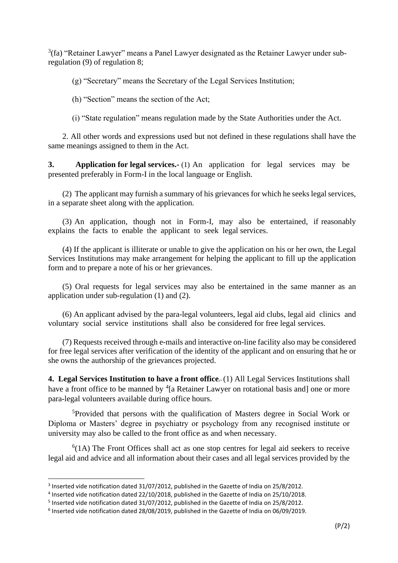$3$ (fa) "Retainer Lawyer" means a Panel Lawyer designated as the Retainer Lawyer under subregulation (9) of regulation 8;

(g) "Secretary" means the Secretary of the Legal Services Institution;

(h) "Section" means the section of the Act;

(i) "State regulation" means regulation made by the State Authorities under the Act.

2. All other words and expressions used but not defined in these regulations shall have the same meanings assigned to them in the Act.

**3. Application for legal services.-** (1) An application for legal services may be presented preferably in Form-I in the local language or English.

(2) The applicant may furnish a summary of his grievances for which he seeks legal services, in a separate sheet along with the application.

(3) An application, though not in Form-I, may also be entertained, if reasonably explains the facts to enable the applicant to seek legal services.

(4) If the applicant is illiterate or unable to give the application on his or her own, the Legal Services Institutions may make arrangement for helping the applicant to fill up the application form and to prepare a note of his or her grievances.

(5) Oral requests for legal services may also be entertained in the same manner as an application under sub-regulation (1) and (2).

(6) An applicant advised by the para-legal volunteers, legal aid clubs, legal aid clinics and voluntary social service institutions shall also be considered for free legal services.

(7) Requests received through e-mails and interactive on-line facility also may be considered for free legal services after verification of the identity of the applicant and on ensuring that he or she owns the authorship of the grievances projected.

**4. Legal Services Institution to have a front office.** (1) All Legal Services Institutions shall have a front office to be manned by <sup>4</sup>[a Retainer Lawyer on rotational basis and] one or more para-legal volunteers available during office hours.

<sup>5</sup>Provided that persons with the qualification of Masters degree in Social Work or Diploma or Masters' degree in psychiatry or psychology from any recognised institute or university may also be called to the front office as and when necessary.

 $6(1A)$  The Front Offices shall act as one stop centres for legal aid seekers to receive legal aid and advice and all information about their cases and all legal services provided by the

<sup>&</sup>lt;sup>3</sup> Inserted vide notification dated 31/07/2012, published in the Gazette of India on 25/8/2012.

<sup>4</sup> Inserted vide notification dated 22/10/2018, published in the Gazette of India on 25/10/2018.

<sup>&</sup>lt;sup>5</sup> Inserted vide notification dated 31/07/2012, published in the Gazette of India on 25/8/2012.

<sup>6</sup> Inserted vide notification dated 28/08/2019, published in the Gazette of India on 06/09/2019.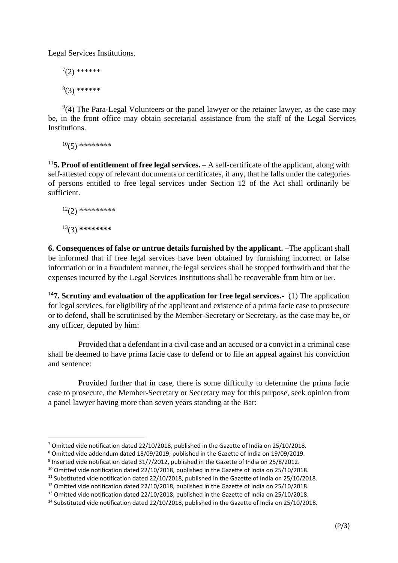Legal Services Institutions.

 $7(2)$  \*\*\*\*\*\*  $(3)$ \*\*\*\*\*\*

 $9(4)$  The Para-Legal Volunteers or the panel lawyer or the retainer lawyer, as the case may be, in the front office may obtain secretarial assistance from the staff of the Legal Services Institutions.

 $10(5)$  \*\*\*\*\*\*\*\*\*

<sup>11</sup>**5. Proof of entitlement of free legal services. –** A self-certificate of the applicant, along with self-attested copy of relevant documents or certificates, if any, that he falls under the categories of persons entitled to free legal services under Section 12 of the Act shall ordinarily be sufficient.

```
12(2) **********
13(3) ********
```
**6. Consequences of false or untrue details furnished by the applicant. –**The applicant shall be informed that if free legal services have been obtained by furnishing incorrect or false information or in a fraudulent manner, the legal services shall be stopped forthwith and that the expenses incurred by the Legal Services Institutions shall be recoverable from him or her.

<sup>14</sup>**7. Scrutiny and evaluation of the application for free legal services.-** (1) The application for legal services, for eligibility of the applicant and existence of a prima facie case to prosecute or to defend, shall be scrutinised by the Member-Secretary or Secretary, as the case may be, or any officer, deputed by him:

Provided that a defendant in a civil case and an accused or a convict in a criminal case shall be deemed to have prima facie case to defend or to file an appeal against his conviction and sentence:

Provided further that in case, there is some difficulty to determine the prima facie case to prosecute, the Member-Secretary or Secretary may for this purpose, seek opinion from a panel lawyer having more than seven years standing at the Bar:

<sup>7</sup> Omitted vide notification dated 22/10/2018, published in the Gazette of India on 25/10/2018.

<sup>8</sup> Omitted vide addendum dated 18/09/2019, published in the Gazette of India on 19/09/2019.

<sup>&</sup>lt;sup>9</sup> Inserted vide notification dated 31/7/2012, published in the Gazette of India on 25/8/2012.

<sup>&</sup>lt;sup>10</sup> Omitted vide notification dated 22/10/2018, published in the Gazette of India on 25/10/2018.

<sup>&</sup>lt;sup>11</sup> Substituted vide notification dated 22/10/2018, published in the Gazette of India on 25/10/2018.

<sup>&</sup>lt;sup>12</sup> Omitted vide notification dated 22/10/2018, published in the Gazette of India on 25/10/2018.

<sup>&</sup>lt;sup>13</sup> Omitted vide notification dated 22/10/2018, published in the Gazette of India on 25/10/2018.

<sup>&</sup>lt;sup>14</sup> Substituted vide notification dated 22/10/2018, published in the Gazette of India on 25/10/2018.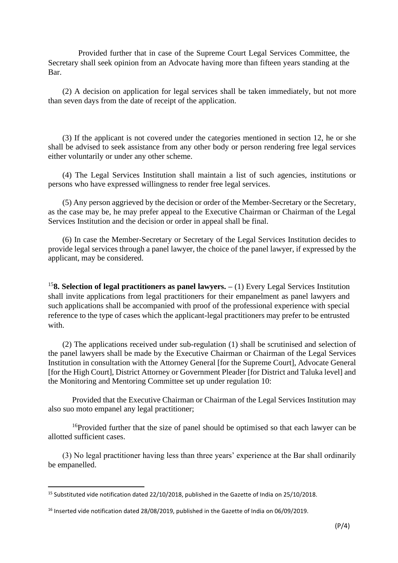Provided further that in case of the Supreme Court Legal Services Committee, the Secretary shall seek opinion from an Advocate having more than fifteen years standing at the Bar.

(2) A decision on application for legal services shall be taken immediately, but not more than seven days from the date of receipt of the application.

(3) If the applicant is not covered under the categories mentioned in section 12, he or she shall be advised to seek assistance from any other body or person rendering free legal services either voluntarily or under any other scheme.

(4) The Legal Services Institution shall maintain a list of such agencies, institutions or persons who have expressed willingness to render free legal services.

(5) Any person aggrieved by the decision or order of the Member-Secretary or the Secretary, as the case may be, he may prefer appeal to the Executive Chairman or Chairman of the Legal Services Institution and the decision or order in appeal shall be final.

(6) In case the Member-Secretary or Secretary of the Legal Services Institution decides to provide legal services through a panel lawyer, the choice of the panel lawyer, if expressed by the applicant, may be considered.

<sup>15</sup>**8. Selection of legal practitioners as panel lawyers. –** (1) Every Legal Services Institution shall invite applications from legal practitioners for their empanelment as panel lawyers and such applications shall be accompanied with proof of the professional experience with special reference to the type of cases which the applicant-legal practitioners may prefer to be entrusted with.

(2) The applications received under sub-regulation (1) shall be scrutinised and selection of the panel lawyers shall be made by the Executive Chairman or Chairman of the Legal Services Institution in consultation with the Attorney General [for the Supreme Court], Advocate General [for the High Court], District Attorney or Government Pleader [for District and Taluka level] and the Monitoring and Mentoring Committee set up under regulation 10:

Provided that the Executive Chairman or Chairman of the Legal Services Institution may also suo moto empanel any legal practitioner;

<sup>16</sup>Provided further that the size of panel should be optimised so that each lawyer can be allotted sufficient cases.

(3) No legal practitioner having less than three years' experience at the Bar shall ordinarily be empanelled.

<sup>15</sup> Substituted vide notification dated 22/10/2018, published in the Gazette of India on 25/10/2018.

<sup>&</sup>lt;sup>16</sup> Inserted vide notification dated 28/08/2019, published in the Gazette of India on 06/09/2019.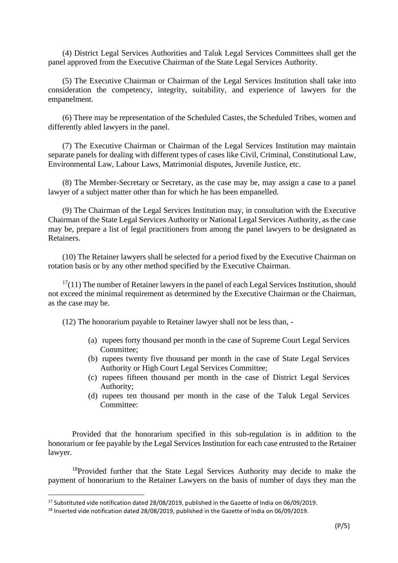(4) District Legal Services Authorities and Taluk Legal Services Committees shall get the panel approved from the Executive Chairman of the State Legal Services Authority.

(5) The Executive Chairman or Chairman of the Legal Services Institution shall take into consideration the competency, integrity, suitability, and experience of lawyers for the empanelment.

(6) There may be representation of the Scheduled Castes, the Scheduled Tribes, women and differently abled lawyers in the panel.

(7) The Executive Chairman or Chairman of the Legal Services Institution may maintain separate panels for dealing with different types of cases like Civil, Criminal, Constitutional Law, Environmental Law, Labour Laws, Matrimonial disputes, Juvenile Justice, etc.

(8) The Member-Secretary or Secretary, as the case may be, may assign a case to a panel lawyer of a subject matter other than for which he has been empanelled.

(9) The Chairman of the Legal Services Institution may, in consultation with the Executive Chairman of the State Legal Services Authority or National Legal Services Authority, as the case may be, prepare a list of legal practitioners from among the panel lawyers to be designated as Retainers.

(10) The Retainer lawyers shall be selected for a period fixed by the Executive Chairman on rotation basis or by any other method specified by the Executive Chairman.

 $17(11)$  The number of Retainer lawyers in the panel of each Legal Services Institution, should not exceed the minimal requirement as determined by the Executive Chairman or the Chairman, as the case may be.

(12) The honorarium payable to Retainer lawyer shall not be less than, -

- (a) rupees forty thousand per month in the case of Supreme Court Legal Services Committee;
- (b) rupees twenty five thousand per month in the case of State Legal Services Authority or High Court Legal Services Committee;
- (c) rupees fifteen thousand per month in the case of District Legal Services Authority;
- (d) rupees ten thousand per month in the case of the Taluk Legal Services Committee:

Provided that the honorarium specified in this sub-regulation is in addition to the honorarium or fee payable by the Legal Services Institution for each case entrusted to the Retainer lawyer.

 $18$ Provided further that the State Legal Services Authority may decide to make the payment of honorarium to the Retainer Lawyers on the basis of number of days they man the

<sup>&</sup>lt;sup>17</sup> Substituted vide notification dated 28/08/2019, published in the Gazette of India on 06/09/2019.

<sup>&</sup>lt;sup>18</sup> Inserted vide notification dated 28/08/2019, published in the Gazette of India on 06/09/2019.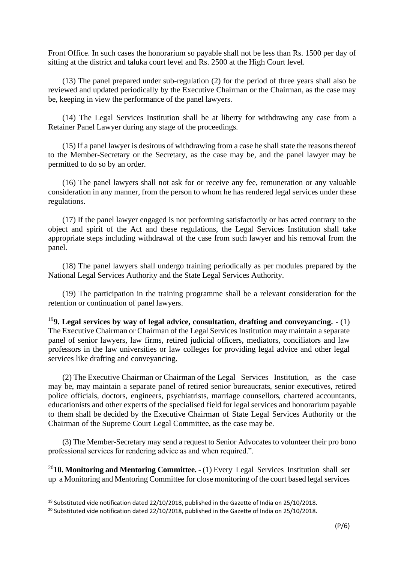Front Office. In such cases the honorarium so payable shall not be less than Rs. 1500 per day of sitting at the district and taluka court level and Rs. 2500 at the High Court level.

(13) The panel prepared under sub-regulation (2) for the period of three years shall also be reviewed and updated periodically by the Executive Chairman or the Chairman, as the case may be, keeping in view the performance of the panel lawyers.

(14) The Legal Services Institution shall be at liberty for withdrawing any case from a Retainer Panel Lawyer during any stage of the proceedings.

(15) If a panel lawyer is desirous of withdrawing from a case he shall state the reasons thereof to the Member-Secretary or the Secretary, as the case may be, and the panel lawyer may be permitted to do so by an order.

(16) The panel lawyers shall not ask for or receive any fee, remuneration or any valuable consideration in any manner, from the person to whom he has rendered legal services under these regulations.

(17) If the panel lawyer engaged is not performing satisfactorily or has acted contrary to the object and spirit of the Act and these regulations, the Legal Services Institution shall take appropriate steps including withdrawal of the case from such lawyer and his removal from the panel.

(18) The panel lawyers shall undergo training periodically as per modules prepared by the National Legal Services Authority and the State Legal Services Authority.

(19) The participation in the training programme shall be a relevant consideration for the retention or continuation of panel lawyers.

<sup>19</sup>**9. Legal services by way of legal advice, consultation, drafting and conveyancing.** - (1) The Executive Chairman or Chairman of the Legal Services Institution may maintain a separate panel of senior lawyers, law firms, retired judicial officers, mediators, conciliators and law professors in the law universities or law colleges for providing legal advice and other legal services like drafting and conveyancing.

(2) The Executive Chairman or Chairman of the Legal Services Institution, as the case may be, may maintain a separate panel of retired senior bureaucrats, senior executives, retired police officials, doctors, engineers, psychiatrists, marriage counsellors, chartered accountants, educationists and other experts of the specialised field for legal services and honorarium payable to them shall be decided by the Executive Chairman of State Legal Services Authority or the Chairman of the Supreme Court Legal Committee, as the case may be.

(3) The Member-Secretary may send a request to Senior Advocates to volunteer their pro bono professional services for rendering advice as and when required.".

<sup>20</sup>**10. Monitoring and Mentoring Committee.** - (1) Every Legal Services Institution shall set up a Monitoring and Mentoring Committee for close monitoring of the court based legal services

<sup>&</sup>lt;sup>19</sup> Substituted vide notification dated 22/10/2018, published in the Gazette of India on 25/10/2018.

<sup>&</sup>lt;sup>20</sup> Substituted vide notification dated 22/10/2018, published in the Gazette of India on 25/10/2018.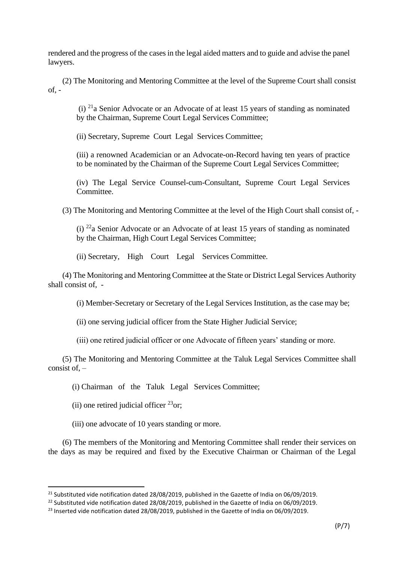rendered and the progress of the cases in the legal aided matters and to guide and advise the panel lawyers.

(2) The Monitoring and Mentoring Committee at the level of the Supreme Court shall consist  $of. -$ 

(i)  $^{21}$ a Senior Advocate or an Advocate of at least 15 years of standing as nominated by the Chairman, Supreme Court Legal Services Committee;

(ii) Secretary, Supreme Court Legal Services Committee;

(iii) a renowned Academician or an Advocate-on-Record having ten years of practice to be nominated by the Chairman of the Supreme Court Legal Services Committee;

(iv) The Legal Service Counsel-cum-Consultant, Supreme Court Legal Services Committee.

(3) The Monitoring and Mentoring Committee at the level of the High Court shall consist of, -

(i)  $^{22}$ a Senior Advocate or an Advocate of at least 15 years of standing as nominated by the Chairman, High Court Legal Services Committee;

(ii) Secretary, High Court Legal Services Committee.

(4) The Monitoring and Mentoring Committee at the State or District Legal Services Authority shall consist of, -

(i) Member-Secretary or Secretary of the Legal Services Institution, as the case may be;

(ii) one serving judicial officer from the State Higher Judicial Service;

(iii) one retired judicial officer or one Advocate of fifteen years' standing or more.

(5) The Monitoring and Mentoring Committee at the Taluk Legal Services Committee shall consist of, –

(i) Chairman of the Taluk Legal Services Committee;

(ii) one retired judicial officer  $^{23}$ or;

(iii) one advocate of 10 years standing or more.

(6) The members of the Monitoring and Mentoring Committee shall render their services on the days as may be required and fixed by the Executive Chairman or Chairman of the Legal

<sup>&</sup>lt;sup>21</sup> Substituted vide notification dated 28/08/2019, published in the Gazette of India on 06/09/2019.

 $^{22}$  Substituted vide notification dated 28/08/2019, published in the Gazette of India on 06/09/2019.

<sup>&</sup>lt;sup>23</sup> Inserted vide notification dated 28/08/2019, published in the Gazette of India on 06/09/2019.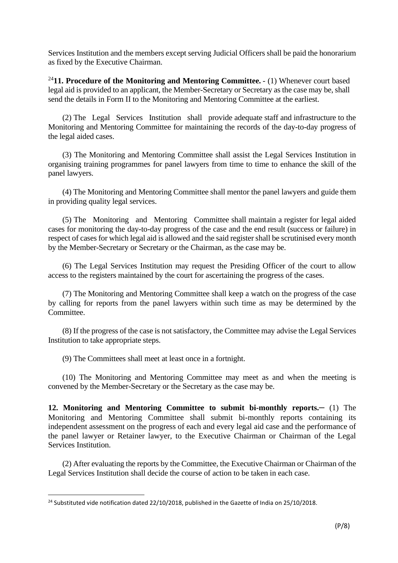Services Institution and the members except serving Judicial Officers shall be paid the honorarium as fixed by the Executive Chairman.

<sup>24</sup>**11. Procedure of the Monitoring and Mentoring Committee.** - (1) Whenever court based legal aid is provided to an applicant, the Member-Secretary or Secretary as the case may be, shall send the details in Form II to the Monitoring and Mentoring Committee at the earliest.

(2) The Legal Services Institution shall provide adequate staff and infrastructure to the Monitoring and Mentoring Committee for maintaining the records of the day-to-day progress of the legal aided cases.

(3) The Monitoring and Mentoring Committee shall assist the Legal Services Institution in organising training programmes for panel lawyers from time to time to enhance the skill of the panel lawyers.

(4) The Monitoring and Mentoring Committee shall mentor the panel lawyers and guide them in providing quality legal services.

(5) The Monitoring and Mentoring Committee shall maintain a register for legal aided cases for monitoring the day-to-day progress of the case and the end result (success or failure) in respect of cases for which legal aid is allowed and the said register shall be scrutinised every month by the Member-Secretary or Secretary or the Chairman, as the case may be.

(6) The Legal Services Institution may request the Presiding Officer of the court to allow access to the registers maintained by the court for ascertaining the progress of the cases.

(7) The Monitoring and Mentoring Committee shall keep a watch on the progress of the case by calling for reports from the panel lawyers within such time as may be determined by the Committee.

(8) If the progress of the case is not satisfactory, the Committee may advise the Legal Services Institution to take appropriate steps.

(9) The Committees shall meet at least once in a fortnight.

(10) The Monitoring and Mentoring Committee may meet as and when the meeting is convened by the Member-Secretary or the Secretary as the case may be.

**12. Monitoring and Mentoring Committee to submit bi-monthly reports.–** (1) The Monitoring and Mentoring Committee shall submit bi-monthly reports containing its independent assessment on the progress of each and every legal aid case and the performance of the panel lawyer or Retainer lawyer, to the Executive Chairman or Chairman of the Legal Services Institution.

(2) After evaluating the reports by the Committee, the Executive Chairman or Chairman of the Legal Services Institution shall decide the course of action to be taken in each case.

 $24$  Substituted vide notification dated 22/10/2018, published in the Gazette of India on 25/10/2018.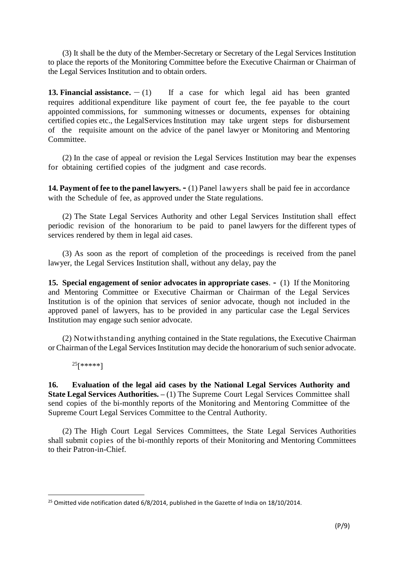(3) It shall be the duty of the Member-Secretary or Secretary of the Legal Services Institution to place the reports of the Monitoring Committee before the Executive Chairman or Chairman of the Legal Services Institution and to obtain orders.

**13. Financial assistance.**  $- (1)$  If a case for which legal aid has been granted requires additional expenditure like payment of court fee, the fee payable to the court appointed commissions, for summoning witnesses or documents, expenses for obtaining certified copies etc., the LegalServices Institution may take urgent steps for disbursement of the requisite amount on the advice of the panel lawyer or Monitoring and Mentoring Committee.

(2) In the case of appeal or revision the Legal Services Institution may bear the expenses for obtaining certified copies of the judgment and case records.

**14. Payment of fee to the panel lawyers.-** (1) Panel lawyers shall be paid fee in accordance with the Schedule of fee, as approved under the State regulations.

(2) The State Legal Services Authority and other Legal Services Institution shall effect periodic revision of the honorarium to be paid to panel lawyers for the different types of services rendered by them in legal aid cases.

(3) As soon as the report of completion of the proceedings is received from the panel lawyer, the Legal Services Institution shall, without any delay, pay the

**15. Special engagement of senior advocates in appropriate cases**. **-** (1) If the Monitoring and Mentoring Committee or Executive Chairman or Chairman of the Legal Services Institution is of the opinion that services of senior advocate, though not included in the approved panel of lawyers, has to be provided in any particular case the Legal Services Institution may engage such senior advocate.

(2) Notwithstanding anything contained in the State regulations, the Executive Chairman or Chairman of the Legal Services Institution may decide the honorarium of such senior advocate.

<sup>25</sup>[\*\*\*\*\*]

**16. Evaluation of the legal aid cases by the National Legal Services Authority and State Legal Services Authorities. –** (1) The Supreme Court Legal Services Committee shall send copies of the bi-monthly reports of the Monitoring and Mentoring Committee of the Supreme Court Legal Services Committee to the Central Authority.

(2) The High Court Legal Services Committees, the State Legal Services Authorities shall submit copies of the bi-monthly reports of their Monitoring and Mentoring Committees to their Patron-in-Chief.

 $^{25}$  Omitted vide notification dated 6/8/2014, published in the Gazette of India on 18/10/2014.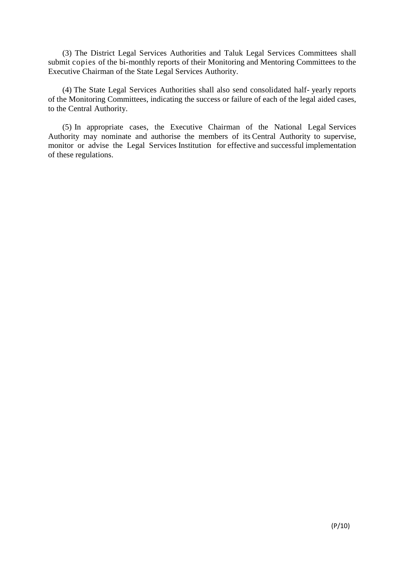(3) The District Legal Services Authorities and Taluk Legal Services Committees shall submit copies of the bi-monthly reports of their Monitoring and Mentoring Committees to the Executive Chairman of the State Legal Services Authority.

(4) The State Legal Services Authorities shall also send consolidated half- yearly reports of the Monitoring Committees, indicating the success or failure of each of the legal aided cases, to the Central Authority.

(5) In appropriate cases, the Executive Chairman of the National Legal Services Authority may nominate and authorise the members of its Central Authority to supervise, monitor or advise the Legal Services Institution for effective and successful implementation of these regulations.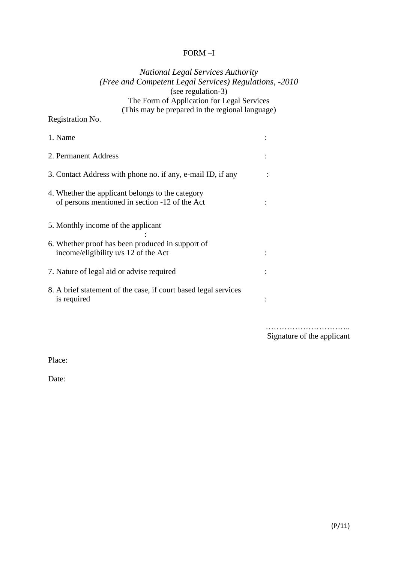#### FORM –I

## *National Legal Services Authority (Free and Competent Legal Services) Regulations, -2010* (see regulation-3) The Form of Application for Legal Services (This may be prepared in the regional language)

## Registration No.

| 1. Name                                                                                            |  |
|----------------------------------------------------------------------------------------------------|--|
| 2. Permanent Address                                                                               |  |
| 3. Contact Address with phone no. if any, e-mail ID, if any                                        |  |
| 4. Whether the applicant belongs to the category<br>of persons mentioned in section -12 of the Act |  |
| 5. Monthly income of the applicant                                                                 |  |
| 6. Whether proof has been produced in support of<br>income/eligibility u/s 12 of the Act           |  |
| 7. Nature of legal aid or advise required                                                          |  |
| 8. A brief statement of the case, if court based legal services<br>is required                     |  |

……………………………… Signature of the applicant

Place:

Date: